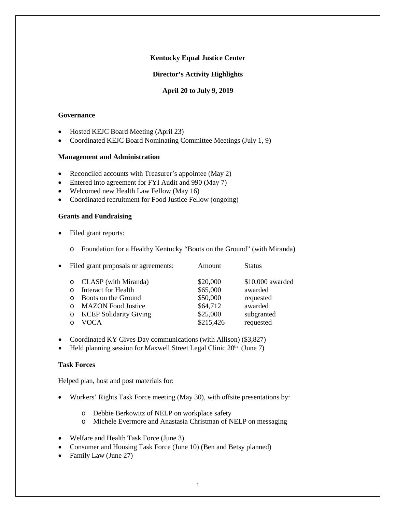# **Kentucky Equal Justice Center**

## **Director's Activity Highlights**

**April 20 to July 9, 2019**

#### **Governance**

- Hosted KEJC Board Meeting (April 23)
- Coordinated KEJC Board Nominating Committee Meetings (July 1, 9)

#### **Management and Administration**

- Reconciled accounts with Treasurer's appointee (May 2)
- Entered into agreement for FYI Audit and 990 (May 7)
- Welcomed new Health Law Fellow (May 16)
- Coordinated recruitment for Food Justice Fellow (ongoing)

#### **Grants and Fundraising**

- Filed grant reports:
	- o Foundation for a Healthy Kentucky "Boots on the Ground" (with Miranda)

| $\bullet$ | Filed grant proposals or agreements: |                               | Amount    | <b>Status</b>    |
|-----------|--------------------------------------|-------------------------------|-----------|------------------|
|           |                                      | <b>CLASP</b> (with Miranda)   | \$20,000  | \$10,000 awarded |
|           |                                      | Interact for Health           | \$65,000  | awarded          |
|           | ∩                                    | Boots on the Ground           | \$50,000  | requested        |
|           | $\Omega$                             | <b>MAZON</b> Food Justice     | \$64,712  | awarded          |
|           | $\circ$                              | <b>KCEP Solidarity Giving</b> | \$25,000  | subgranted       |
|           | ∩                                    | <b>VOCA</b>                   | \$215,426 | requested        |
|           |                                      |                               |           |                  |

- Coordinated KY Gives Day communications (with Allison) (\$3,827)
- Held planning session for Maxwell Street Legal Clinic  $20<sup>th</sup>$  (June 7)

## **Task Forces**

Helped plan, host and post materials for:

- Workers' Rights Task Force meeting (May 30), with offsite presentations by:
	- o Debbie Berkowitz of NELP on workplace safety
	- o Michele Evermore and Anastasia Christman of NELP on messaging
- Welfare and Health Task Force (June 3)
- Consumer and Housing Task Force (June 10) (Ben and Betsy planned)
- Family Law (June 27)